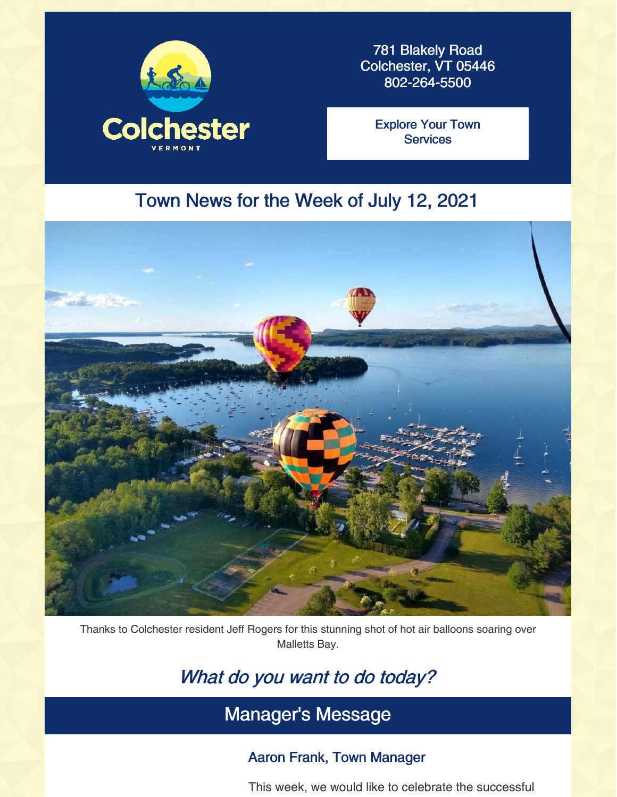

781 Blakely Road Colchester, VT 05446 802-264-5500

Explore Your Town **[Services](https://colchestervt.gov/35/Town-Services)** 

### Town News for the Week of July 12, 2021



Thanks to Colchester resident Jeff Rogers for this stunning shot of hot air balloons soaring over Malletts Bay.

# What do you want to do today?

# Manager's Message

### Aaron Frank, Town Manager

This week, we would like to celebrate the successful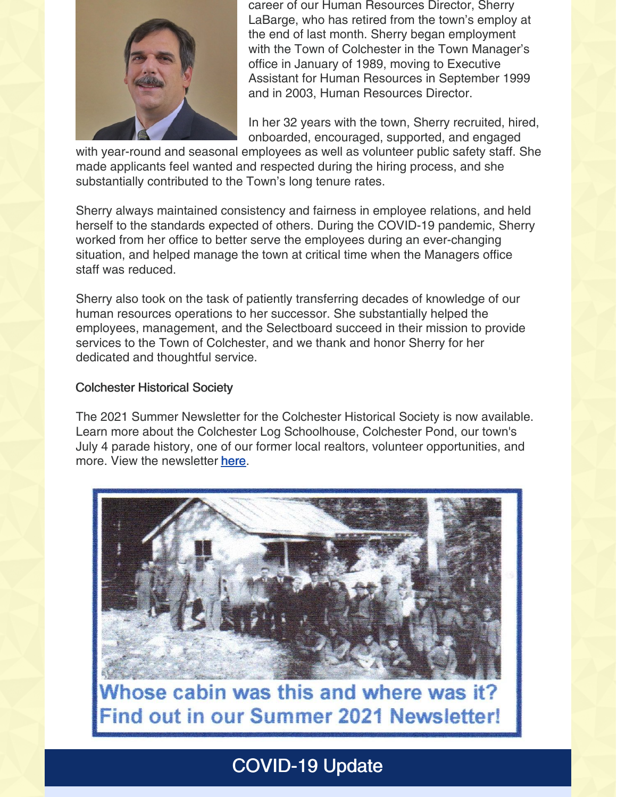

career of our Human Resources Director, Sherry LaBarge, who has retired from the town's employ at the end of last month. Sherry began employment with the Town of Colchester in the Town Manager's office in January of 1989, moving to Executive Assistant for Human Resources in September 1999 and in 2003, Human Resources Director.

In her 32 years with the town, Sherry recruited, hired, onboarded, encouraged, supported, and engaged

with year-round and seasonal employees as well as volunteer public safety staff. She made applicants feel wanted and respected during the hiring process, and she substantially contributed to the Town's long tenure rates.

Sherry always maintained consistency and fairness in employee relations, and held herself to the standards expected of others. During the COVID-19 pandemic, Sherry worked from her office to better serve the employees during an ever-changing situation, and helped manage the town at critical time when the Managers office staff was reduced.

Sherry also took on the task of patiently transferring decades of knowledge of our human resources operations to her successor. She substantially helped the employees, management, and the Selectboard succeed in their mission to provide services to the Town of Colchester, and we thank and honor Sherry for her dedicated and thoughtful service.

#### Colchester Historical Society

The 2021 Summer Newsletter for the Colchester Historical Society is now available. Learn more about the Colchester Log Schoolhouse, Colchester Pond, our town's July 4 parade history, one of our former local realtors, volunteer opportunities, and more. View the newsletter [here](https://colchestervt.gov/DocumentCenter/View/6743/Summer-2021-Colchester-VT-Historical-Society-Newsletter).



Whose cabin was this and where was it? **Find out in our Summer 2021 Newsletter!** 

# COVID-19 Update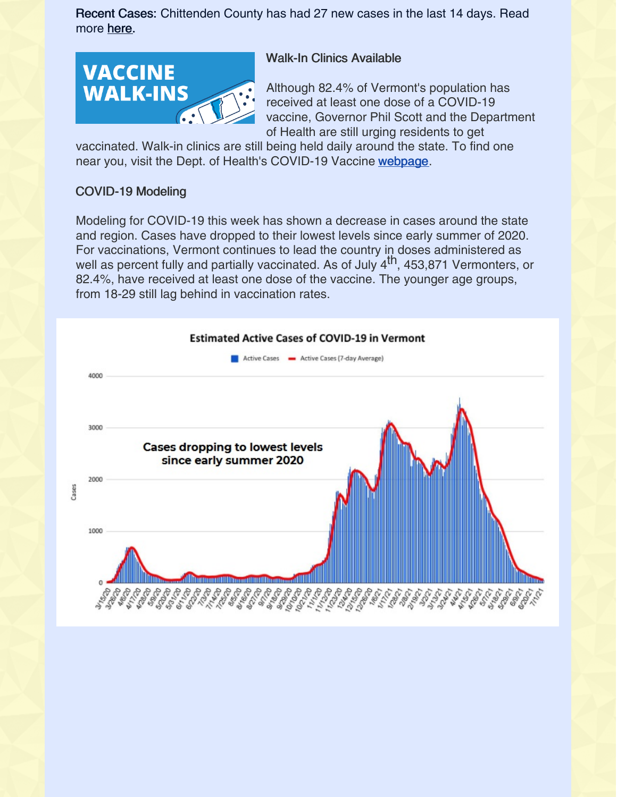Recent Cases: Chittenden County has had 27 new cases in the last 14 days. Read more [here](https://www.healthvermont.gov/covid-19/current-activity/vermont-dashboard).



### Walk-In Clinics Available

Although 82.4% of Vermont's population has received at least one dose of a COVID-19 vaccine, Governor Phil Scott and the Department of Health are still urging residents to get

vaccinated. Walk-in clinics are still being held daily around the state. To find one near you, visit the Dept. of Health's COVID-19 Vaccine [webpage](https://www.healthvermont.gov/covid-19/vaccine/getting-covid-19-vaccine).

### COVID-19 Modeling

Modeling for COVID-19 this week has shown a decrease in cases around the state and region. Cases have dropped to their lowest levels since early summer of 2020. For vaccinations, Vermont continues to lead the country in doses administered as well as percent fully and partially vaccinated. As of July 4<sup>th</sup>, 453,871 Vermonters, or 82.4%, have received at least one dose of the vaccine. The younger age groups, from 18-29 still lag behind in vaccination rates.

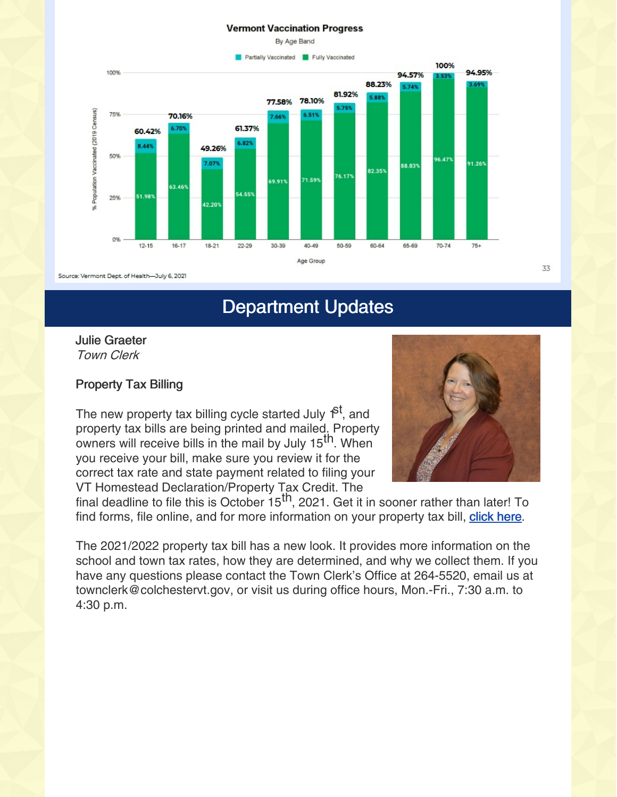#### **Vermont Vaccination Progress**



Source: Vermont Dept. of Health-July 6, 2021

# Department Updates

Julie Graeter Town Clerk

#### Property Tax Billing

The new property tax billing cycle started July f<sup>st</sup>, and property tax bills are being printed and mailed. Property owners will receive bills in the mail by July 15<sup>th</sup>. When you receive your bill, make sure you review it for the correct tax rate and state payment related to filing your VT Homestead Declaration/Property Tax Credit. The



final deadline to file this is October 15<sup>th</sup>, 2021. Get it in sooner rather than later! To find forms, file online, and for more information on your property tax bill, [click](https://tax.vermont.gov/property-owners/homestead-declaration) here.

The 2021/2022 property tax bill has a new look. It provides more information on the school and town tax rates, how they are determined, and why we collect them. If you have any questions please contact the Town Clerk's Office at 264-5520, email us at townclerk@colchestervt.gov, or visit us during office hours, Mon.-Fri., 7:30 a.m. to 4:30 p.m.

33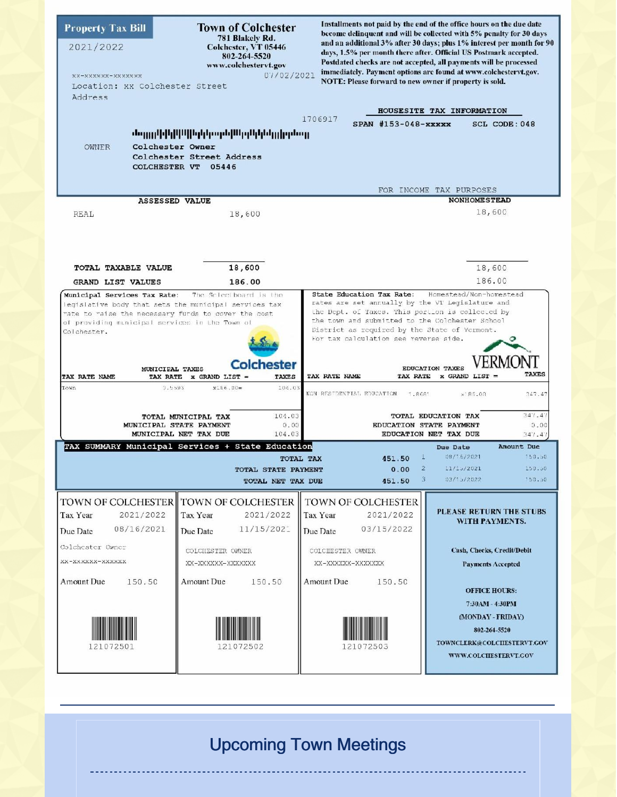| <b>Property Tax Bill</b><br>2021/2022<br>xx-xxxxxx-xxxxxxx<br>Location: XX Colchester Street<br>Address                                                                                                                                                                                                                                                                                                                                                                                                                                                                                                                                                                                                                                                                                                                                                                                                                                                                                                                                                                                                                                                                           | <b>Town of Colchester</b><br>781 Blakely Rd.<br>Colchester, VT 05446<br>802-264-5520<br>www.colchestervt.gov<br>07/02/2021 | NOTE: Please forward to new owner if property is sold.                                                         | Installments not paid by the end of the office hours on the due date<br>become delinquent and will be collected with 5% penalty for 30 days<br>and an additional 3% after 30 days; plus 1% interest per month for 90<br>days, 1.5% per month there after. Official US Postmark accepted.<br>Postdated checks are not accepted, all payments will be processed<br>immediately. Payment options are found at www.colchestervt.gov.<br>HOUSESITE TAX INFORMATION |
|-----------------------------------------------------------------------------------------------------------------------------------------------------------------------------------------------------------------------------------------------------------------------------------------------------------------------------------------------------------------------------------------------------------------------------------------------------------------------------------------------------------------------------------------------------------------------------------------------------------------------------------------------------------------------------------------------------------------------------------------------------------------------------------------------------------------------------------------------------------------------------------------------------------------------------------------------------------------------------------------------------------------------------------------------------------------------------------------------------------------------------------------------------------------------------------|----------------------------------------------------------------------------------------------------------------------------|----------------------------------------------------------------------------------------------------------------|---------------------------------------------------------------------------------------------------------------------------------------------------------------------------------------------------------------------------------------------------------------------------------------------------------------------------------------------------------------------------------------------------------------------------------------------------------------|
| 1706917<br>$SPAN$ #153-048- $xxxxx$<br>SCL CODE: 048<br>նո <sub>ւնն</sub> իկերիկերիկութերիկերիկութեան<br>Colchester Owner<br>OWNER<br>Colchester Street Address<br>COLCHESTER VT 05446<br>FOR INCOME TAX PURPOSES                                                                                                                                                                                                                                                                                                                                                                                                                                                                                                                                                                                                                                                                                                                                                                                                                                                                                                                                                                 |                                                                                                                            |                                                                                                                |                                                                                                                                                                                                                                                                                                                                                                                                                                                               |
| <b>ASSESSED VALUE</b><br>REAL                                                                                                                                                                                                                                                                                                                                                                                                                                                                                                                                                                                                                                                                                                                                                                                                                                                                                                                                                                                                                                                                                                                                                     | 18,600                                                                                                                     |                                                                                                                | <b>NONHOMESTEAD</b><br>18,600                                                                                                                                                                                                                                                                                                                                                                                                                                 |
| 18,600<br>18,600<br><b>TOTAL TAXABLE VALUE</b><br>186.00<br>186.00<br>GRAND LIST VALUES<br>State Education Tax Rate:<br>Homestead/Non-homestead<br>The Scleetboard is the<br>Municipal Services Tax Rate:<br>rates are set annually by the VT Legislature and<br>legislative body that sets the municipal services tax<br>the Dept. of Taxes. This portion is collected by<br>mate to maise the necessary furds to cover the cost<br>the town and submitted to the Colchester School<br>of providing municipal services in the Town of<br>District as required by the State of Vermont.<br>Colchester.<br>For tax calculation see reverse side.<br><b>Colchester</b><br><b>EDUCATION TAXES</b><br>MUNICIPAL TAXES<br><b>TAXES</b><br>TAX RATE NAME<br>TAX RATE<br>$x$ GRAND LIST =<br>TAX RATE NAME<br><b>TAXES</b><br>TAX RATE<br>x GRAND LIST =<br>Town<br>0.5593<br>104.03<br>x186.00=<br>NON RESIDENTIAL EDUCATION<br>1.8681<br>$\times$ 85.00<br>347.47<br>347.47<br>104.03<br><b>TOTAL EDUCATION TAX</b><br>TOTAL MUNICIPAL TAX<br>MUNICIPAL STATE PAYMENT<br>0.00<br>EDUCATION STATE PAYMENT<br>0.00<br>MUNICIPAL NET TAX DUE<br>104.03<br>EDUCATION NET TAX DUE<br>347.47 |                                                                                                                            |                                                                                                                |                                                                                                                                                                                                                                                                                                                                                                                                                                                               |
| TAX SUMMARY Municipal Services + State Education<br>Amount Due<br>Due Date<br>$\perp$<br>88/16/2021<br>150.50<br>451.50<br><b>TOTAL TAX</b>                                                                                                                                                                                                                                                                                                                                                                                                                                                                                                                                                                                                                                                                                                                                                                                                                                                                                                                                                                                                                                       |                                                                                                                            |                                                                                                                |                                                                                                                                                                                                                                                                                                                                                                                                                                                               |
| $\mathbf{2}$<br>11/15/2021<br>150.50<br>0.00<br><b>TOTAL STATE PAYMENT</b><br>03/15/2022<br>150.50<br>3.<br>451.50<br>TOTAL NET TAX DUE                                                                                                                                                                                                                                                                                                                                                                                                                                                                                                                                                                                                                                                                                                                                                                                                                                                                                                                                                                                                                                           |                                                                                                                            |                                                                                                                |                                                                                                                                                                                                                                                                                                                                                                                                                                                               |
| TOWN OF COLCHESTER<br>Tax Year<br>2021/2022<br>08/16/2021<br>Due Date<br>Colchester Owner<br>XX-XXXXXX-XXXXXX                                                                                                                                                                                                                                                                                                                                                                                                                                                                                                                                                                                                                                                                                                                                                                                                                                                                                                                                                                                                                                                                     | TOWN OF COLCHESTER<br>Tax Year<br>2021/2022<br>11/15/202<br>Due Date<br>COLCHESTER OWNER<br>XX-XXXXXX-XXXXXXX              | TOWN OF COLCHESTER<br>Tax Year<br>2021/2022<br>03/15/2022<br>Due Date<br>COLCHESTER OWNER<br>XX-XXXXXX-XXXXXXX | <b>PLEASE RETURN THE STUBS</b><br>WITH PAYMENTS.<br>Cash, Checks, Credit/Debit<br><b>Payments Accepted</b>                                                                                                                                                                                                                                                                                                                                                    |
| Amount Due<br>150.50<br>121072501                                                                                                                                                                                                                                                                                                                                                                                                                                                                                                                                                                                                                                                                                                                                                                                                                                                                                                                                                                                                                                                                                                                                                 | Amount Due<br>150.50<br>121072502                                                                                          | Amount Due<br>150.50<br>121072503                                                                              | <b>OFFICE HOURS:</b><br>7:30AM - 4:30PM<br>(MONDAY - FRIDAY)<br>802-264-5520<br>TOWNCLERK@COLCIIESTERVT.GOV<br>WWW.COLCIIESTERVT.GOV                                                                                                                                                                                                                                                                                                                          |